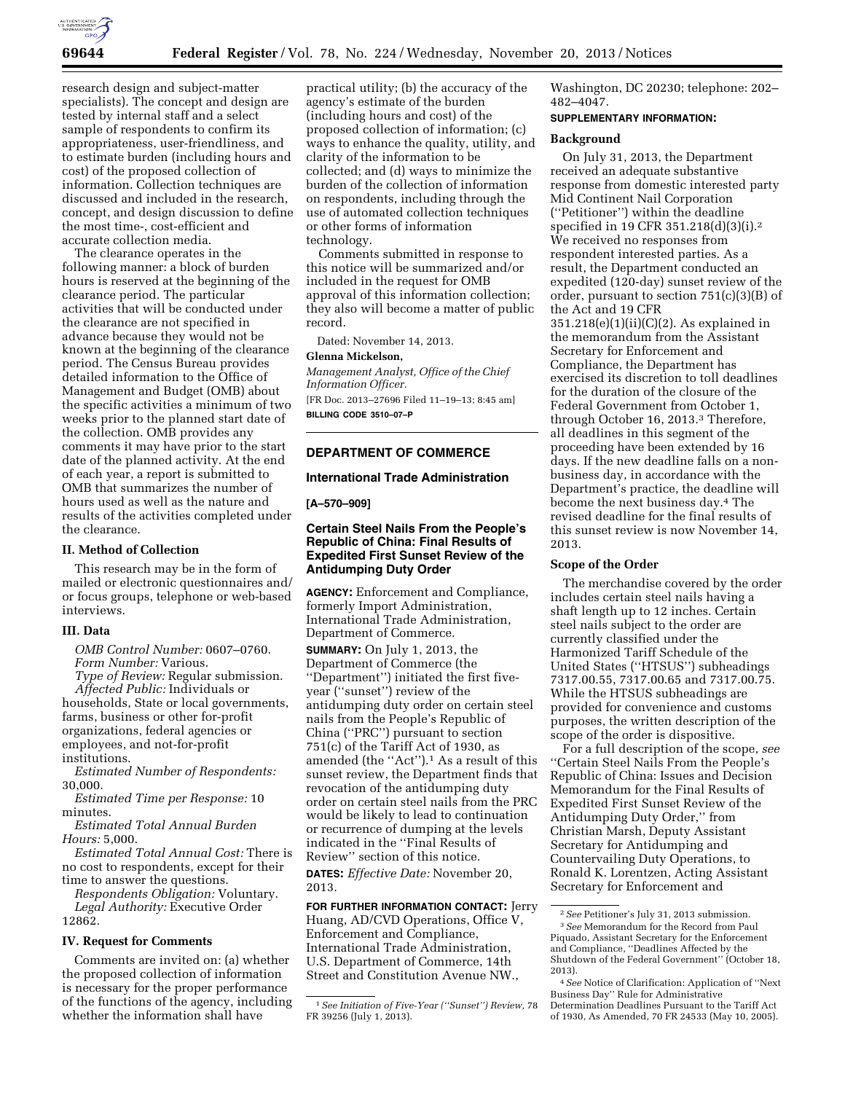

research design and subject-matter specialists). The concept and design are tested by internal staff and a select sample of respondents to confirm its appropriateness, user-friendliness, and to estimate burden (including hours and cost) of the proposed collection of information. Collection techniques are discussed and included in the research, concept, and design discussion to define the most time-, cost-efficient and accurate collection media.

The clearance operates in the following manner: a block of burden hours is reserved at the beginning of the clearance period. The particular activities that will be conducted under the clearance are not specified in advance because they would not be known at the beginning of the clearance period. The Census Bureau provides detailed information to the Office of Management and Budget (OMB) about the specific activities a minimum of two weeks prior to the planned start date of the collection. OMB provides any comments it may have prior to the start date of the planned activity. At the end of each year, a report is submitted to OMB that summarizes the number of hours used as well as the nature and results of the activities completed under the clearance.

#### **II. Method of Collection**

This research may be in the form of mailed or electronic questionnaires and/ or focus groups, telephone or web-based interviews.

## **III. Data**

*OMB Control Number:* 0607–0760. *Form Number:* Various.

*Type of Review:* Regular submission. *Affected Public:* Individuals or households, State or local governments, farms, business or other for-profit organizations, federal agencies or employees, and not-for-profit institutions.

*Estimated Number of Respondents:*  30,000.

*Estimated Time per Response:* 10 minutes.

*Estimated Total Annual Burden Hours:* 5,000.

*Estimated Total Annual Cost:* There is no cost to respondents, except for their time to answer the questions.

*Respondents Obligation:* Voluntary. *Legal Authority:* Executive Order 12862.

#### **IV. Request for Comments**

Comments are invited on: (a) whether the proposed collection of information is necessary for the proper performance of the functions of the agency, including whether the information shall have

practical utility; (b) the accuracy of the agency's estimate of the burden (including hours and cost) of the proposed collection of information; (c) ways to enhance the quality, utility, and clarity of the information to be collected; and (d) ways to minimize the burden of the collection of information on respondents, including through the use of automated collection techniques or other forms of information technology.

Comments submitted in response to this notice will be summarized and/or included in the request for OMB approval of this information collection; they also will become a matter of public record.

Dated: November 14, 2013.

## **Glenna Mickelson,**

*Management Analyst, Office of the Chief Information Officer.*  [FR Doc. 2013–27696 Filed 11–19–13; 8:45 am]

**BILLING CODE 3510–07–P** 

# **DEPARTMENT OF COMMERCE**

# **International Trade Administration**

#### **[A–570–909]**

# **Certain Steel Nails From the People's Republic of China: Final Results of Expedited First Sunset Review of the Antidumping Duty Order**

**AGENCY:** Enforcement and Compliance, formerly Import Administration, International Trade Administration, Department of Commerce.

**SUMMARY:** On July 1, 2013, the Department of Commerce (the ''Department'') initiated the first fiveyear (''sunset'') review of the antidumping duty order on certain steel nails from the People's Republic of China (''PRC'') pursuant to section  $751(c)$  of the Tariff Act of 1930, as amended (the ''Act'').1 As a result of this sunset review, the Department finds that revocation of the antidumping duty order on certain steel nails from the PRC would be likely to lead to continuation or recurrence of dumping at the levels indicated in the ''Final Results of Review'' section of this notice.

**DATES:** *Effective Date:* November 20, 2013.

**FOR FURTHER INFORMATION CONTACT:** Jerry Huang, AD/CVD Operations, Office V, Enforcement and Compliance, International Trade Administration, U.S. Department of Commerce, 14th Street and Constitution Avenue NW.,

Washington, DC 20230; telephone: 202– 482–4047.

# **SUPPLEMENTARY INFORMATION:**

## **Background**

On July 31, 2013, the Department received an adequate substantive response from domestic interested party Mid Continent Nail Corporation (''Petitioner'') within the deadline specified in 19 CFR 351.218(d)(3)(i).2 We received no responses from respondent interested parties. As a result, the Department conducted an expedited (120-day) sunset review of the order, pursuant to section 751(c)(3)(B) of the Act and 19 CFR 351.218(e)(1)(ii)(C)(2). As explained in the memorandum from the Assistant Secretary for Enforcement and Compliance, the Department has exercised its discretion to toll deadlines for the duration of the closure of the Federal Government from October 1, through October 16, 2013.3 Therefore, all deadlines in this segment of the proceeding have been extended by 16 days. If the new deadline falls on a nonbusiness day, in accordance with the Department's practice, the deadline will become the next business day.4 The revised deadline for the final results of this sunset review is now November 14, 2013.

# **Scope of the Order**

The merchandise covered by the order includes certain steel nails having a shaft length up to 12 inches. Certain steel nails subject to the order are currently classified under the Harmonized Tariff Schedule of the United States (''HTSUS'') subheadings 7317.00.55, 7317.00.65 and 7317.00.75. While the HTSUS subheadings are provided for convenience and customs purposes, the written description of the scope of the order is dispositive.

For a full description of the scope, *see*  ''Certain Steel Nails From the People's Republic of China: Issues and Decision Memorandum for the Final Results of Expedited First Sunset Review of the Antidumping Duty Order,'' from Christian Marsh, Deputy Assistant Secretary for Antidumping and Countervailing Duty Operations, to Ronald K. Lorentzen, Acting Assistant Secretary for Enforcement and

<sup>1</sup>*See Initiation of Five-Year (''Sunset'') Review,* 78 FR 39256 (July 1, 2013).

<sup>2</sup>*See* Petitioner's July 31, 2013 submission. 3*See* Memorandum for the Record from Paul Piquado, Assistant Secretary for the Enforcement and Compliance, ''Deadlines Affected by the Shutdown of the Federal Government'' (October 18, 2013).

<sup>4</sup>*See* Notice of Clarification: Application of ''Next Business Day'' Rule for Administrative Determination Deadlines Pursuant to the Tariff Act of 1930, As Amended, 70 FR 24533 (May 10, 2005).